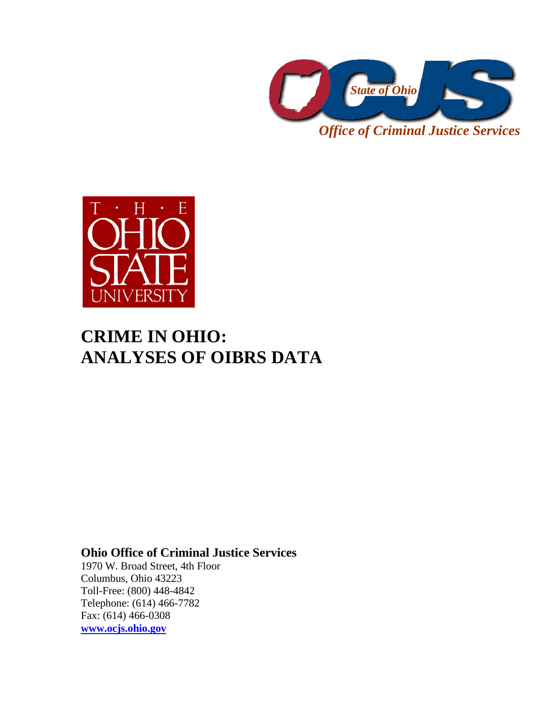

*Office of Criminal Justice Services* 



## **CRIME IN OHIO: ANALYSES OF OIBRS DATA**

### **Ohio Office of Criminal Justice Services**

1970 W. Broad Street, 4th Floor Columbus, Ohio 43223 Toll-Free: (800) 448-4842 Telephone: (614) 466-7782 Fax: (614) 466-0308 **www.ocjs.ohio.gov**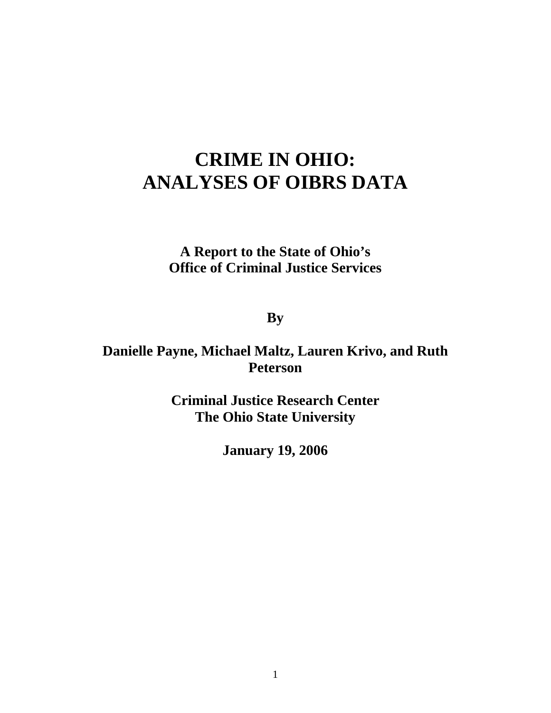# **CRIME IN OHIO: ANALYSES OF OIBRS DATA**

### **A Report to the State of Ohio's Office of Criminal Justice Services**

**By** 

### **Danielle Payne, Michael Maltz, Lauren Krivo, and Ruth Peterson**

**Criminal Justice Research Center The Ohio State University** 

**January 19, 2006**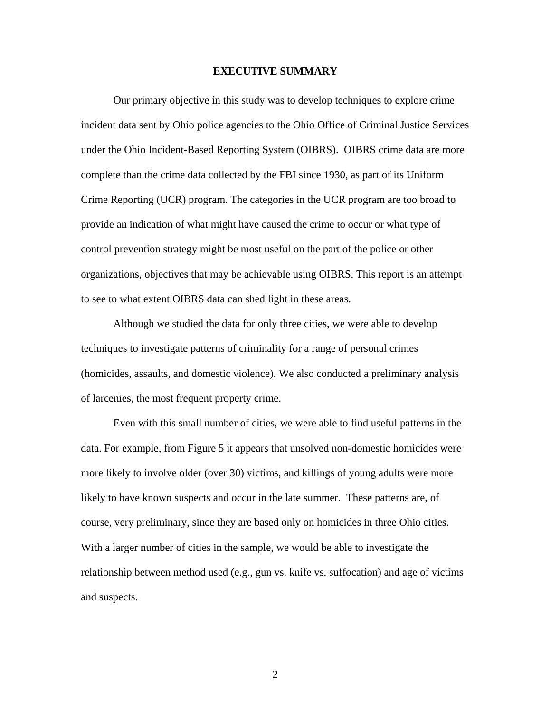#### **EXECUTIVE SUMMARY**

Our primary objective in this study was to develop techniques to explore crime incident data sent by Ohio police agencies to the Ohio Office of Criminal Justice Services under the Ohio Incident-Based Reporting System (OIBRS). OIBRS crime data are more complete than the crime data collected by the FBI since 1930, as part of its Uniform Crime Reporting (UCR) program. The categories in the UCR program are too broad to provide an indication of what might have caused the crime to occur or what type of control prevention strategy might be most useful on the part of the police or other organizations, objectives that may be achievable using OIBRS. This report is an attempt to see to what extent OIBRS data can shed light in these areas.

Although we studied the data for only three cities, we were able to develop techniques to investigate patterns of criminality for a range of personal crimes (homicides, assaults, and domestic violence). We also conducted a preliminary analysis of larcenies, the most frequent property crime.

Even with this small number of cities, we were able to find useful patterns in the data. For example, from Figure 5 it appears that unsolved non-domestic homicides were more likely to involve older (over 30) victims, and killings of young adults were more likely to have known suspects and occur in the late summer. These patterns are, of course, very preliminary, since they are based only on homicides in three Ohio cities. With a larger number of cities in the sample, we would be able to investigate the relationship between method used (e.g., gun vs. knife vs. suffocation) and age of victims and suspects.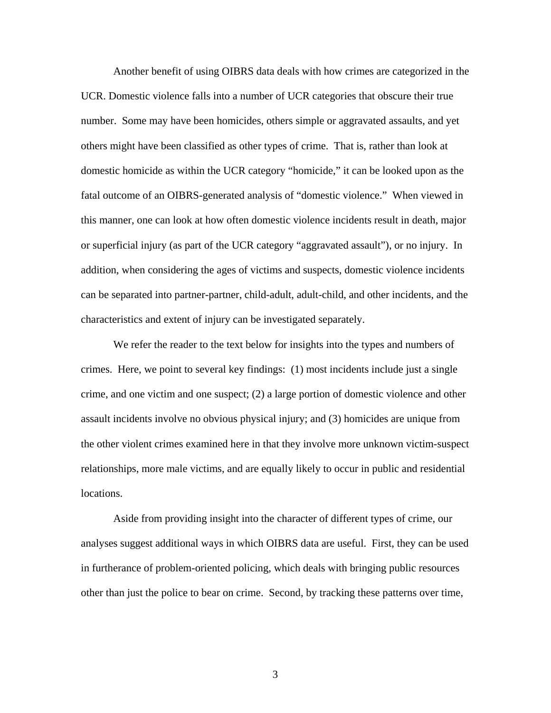Another benefit of using OIBRS data deals with how crimes are categorized in the UCR. Domestic violence falls into a number of UCR categories that obscure their true number. Some may have been homicides, others simple or aggravated assaults, and yet others might have been classified as other types of crime. That is, rather than look at domestic homicide as within the UCR category "homicide," it can be looked upon as the fatal outcome of an OIBRS-generated analysis of "domestic violence." When viewed in this manner, one can look at how often domestic violence incidents result in death, major or superficial injury (as part of the UCR category "aggravated assault"), or no injury. In addition, when considering the ages of victims and suspects, domestic violence incidents can be separated into partner-partner, child-adult, adult-child, and other incidents, and the characteristics and extent of injury can be investigated separately.

We refer the reader to the text below for insights into the types and numbers of crimes. Here, we point to several key findings: (1) most incidents include just a single crime, and one victim and one suspect; (2) a large portion of domestic violence and other assault incidents involve no obvious physical injury; and (3) homicides are unique from the other violent crimes examined here in that they involve more unknown victim-suspect relationships, more male victims, and are equally likely to occur in public and residential locations.

Aside from providing insight into the character of different types of crime, our analyses suggest additional ways in which OIBRS data are useful. First, they can be used in furtherance of problem-oriented policing, which deals with bringing public resources other than just the police to bear on crime. Second, by tracking these patterns over time,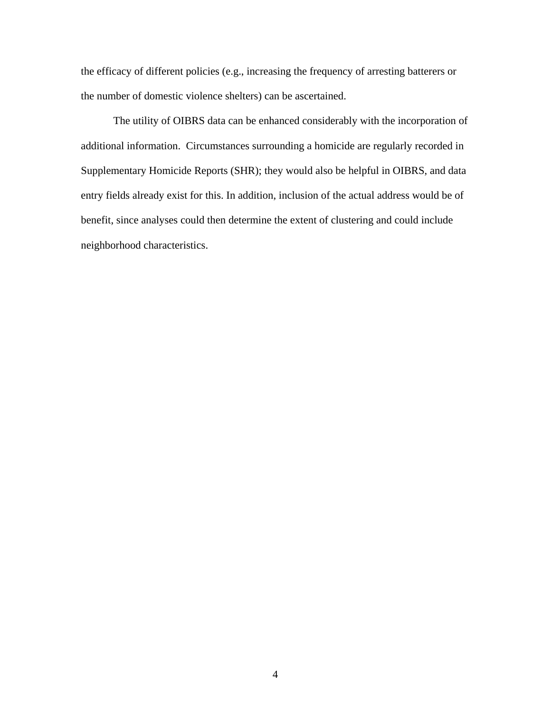the efficacy of different policies (e.g., increasing the frequency of arresting batterers or the number of domestic violence shelters) can be ascertained.

The utility of OIBRS data can be enhanced considerably with the incorporation of additional information. Circumstances surrounding a homicide are regularly recorded in Supplementary Homicide Reports (SHR); they would also be helpful in OIBRS, and data entry fields already exist for this. In addition, inclusion of the actual address would be of benefit, since analyses could then determine the extent of clustering and could include neighborhood characteristics.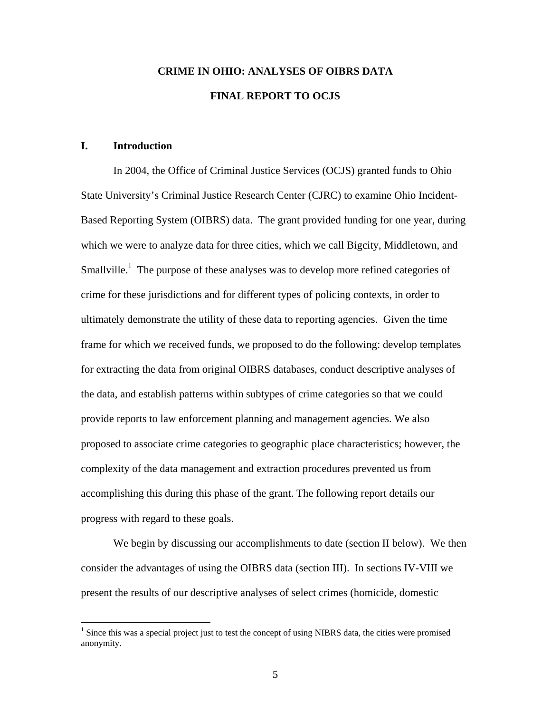## **CRIME IN OHIO: ANALYSES OF OIBRS DATA FINAL REPORT TO OCJS**

#### **I. Introduction**

1

In 2004, the Office of Criminal Justice Services (OCJS) granted funds to Ohio State University's Criminal Justice Research Center (CJRC) to examine Ohio Incident-Based Reporting System (OIBRS) data. The grant provided funding for one year, during which we were to analyze data for three cities, which we call Bigcity, Middletown, and Smallville.<sup>1</sup> The purpose of these analyses was to develop more refined categories of crime for these jurisdictions and for different types of policing contexts, in order to ultimately demonstrate the utility of these data to reporting agencies. Given the time frame for which we received funds, we proposed to do the following: develop templates for extracting the data from original OIBRS databases, conduct descriptive analyses of the data, and establish patterns within subtypes of crime categories so that we could provide reports to law enforcement planning and management agencies. We also proposed to associate crime categories to geographic place characteristics; however, the complexity of the data management and extraction procedures prevented us from accomplishing this during this phase of the grant. The following report details our progress with regard to these goals.

We begin by discussing our accomplishments to date (section II below). We then consider the advantages of using the OIBRS data (section III). In sections IV-VIII we present the results of our descriptive analyses of select crimes (homicide, domestic

<sup>&</sup>lt;sup>1</sup> Since this was a special project just to test the concept of using NIBRS data, the cities were promised anonymity.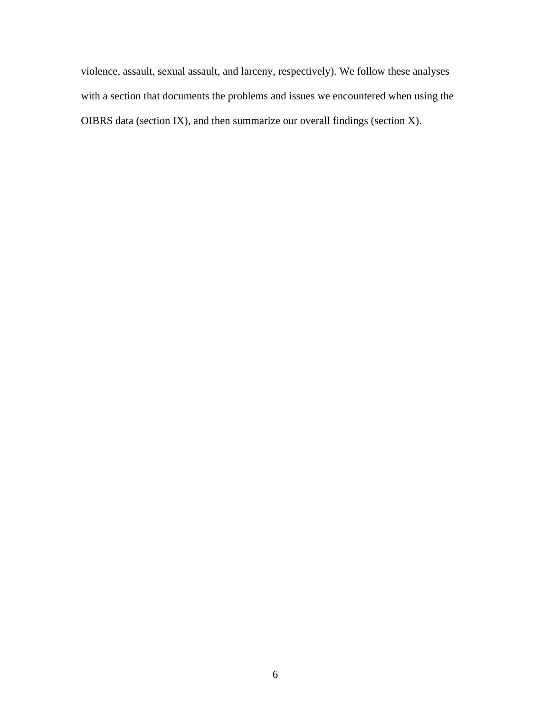violence, assault, sexual assault, and larceny, respectively). We follow these analyses with a section that documents the problems and issues we encountered when using the OIBRS data (section IX), and then summarize our overall findings (section X).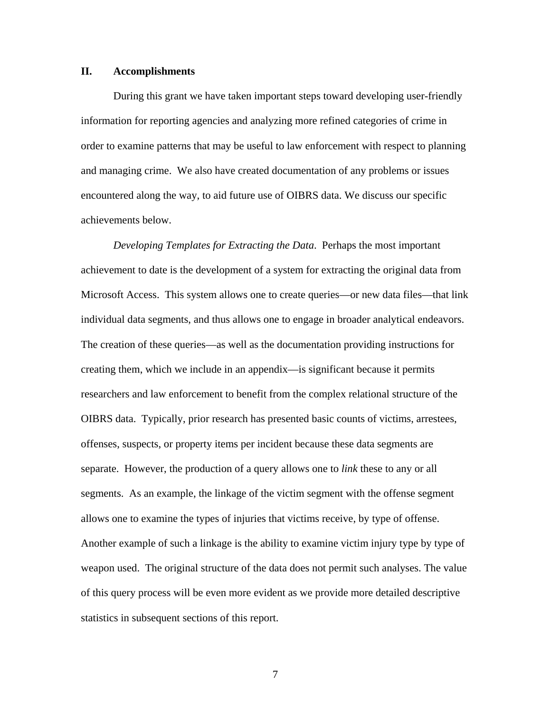#### **II. Accomplishments**

During this grant we have taken important steps toward developing user-friendly information for reporting agencies and analyzing more refined categories of crime in order to examine patterns that may be useful to law enforcement with respect to planning and managing crime. We also have created documentation of any problems or issues encountered along the way, to aid future use of OIBRS data. We discuss our specific achievements below.

*Developing Templates for Extracting the Data*. Perhaps the most important achievement to date is the development of a system for extracting the original data from Microsoft Access. This system allows one to create queries—or new data files—that link individual data segments, and thus allows one to engage in broader analytical endeavors. The creation of these queries—as well as the documentation providing instructions for creating them, which we include in an appendix—is significant because it permits researchers and law enforcement to benefit from the complex relational structure of the OIBRS data. Typically, prior research has presented basic counts of victims, arrestees, offenses, suspects, or property items per incident because these data segments are separate. However, the production of a query allows one to *link* these to any or all segments. As an example, the linkage of the victim segment with the offense segment allows one to examine the types of injuries that victims receive, by type of offense. Another example of such a linkage is the ability to examine victim injury type by type of weapon used. The original structure of the data does not permit such analyses. The value of this query process will be even more evident as we provide more detailed descriptive statistics in subsequent sections of this report.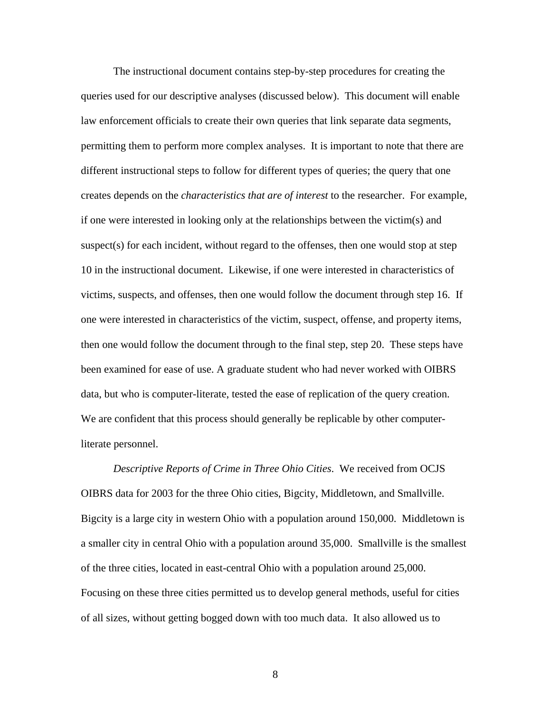The instructional document contains step-by-step procedures for creating the queries used for our descriptive analyses (discussed below). This document will enable law enforcement officials to create their own queries that link separate data segments, permitting them to perform more complex analyses. It is important to note that there are different instructional steps to follow for different types of queries; the query that one creates depends on the *characteristics that are of interest* to the researcher. For example, if one were interested in looking only at the relationships between the victim(s) and suspect(s) for each incident, without regard to the offenses, then one would stop at step 10 in the instructional document. Likewise, if one were interested in characteristics of victims, suspects, and offenses, then one would follow the document through step 16. If one were interested in characteristics of the victim, suspect, offense, and property items, then one would follow the document through to the final step, step 20. These steps have been examined for ease of use. A graduate student who had never worked with OIBRS data, but who is computer-literate, tested the ease of replication of the query creation. We are confident that this process should generally be replicable by other computerliterate personnel.

*Descriptive Reports of Crime in Three Ohio Cities*. We received from OCJS OIBRS data for 2003 for the three Ohio cities, Bigcity, Middletown, and Smallville. Bigcity is a large city in western Ohio with a population around 150,000. Middletown is a smaller city in central Ohio with a population around 35,000. Smallville is the smallest of the three cities, located in east-central Ohio with a population around 25,000. Focusing on these three cities permitted us to develop general methods, useful for cities of all sizes, without getting bogged down with too much data. It also allowed us to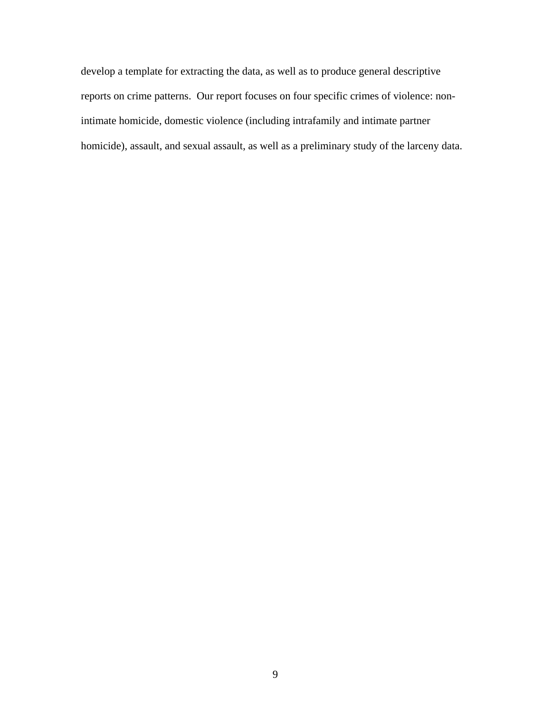develop a template for extracting the data, as well as to produce general descriptive reports on crime patterns. Our report focuses on four specific crimes of violence: nonintimate homicide, domestic violence (including intrafamily and intimate partner homicide), assault, and sexual assault, as well as a preliminary study of the larceny data.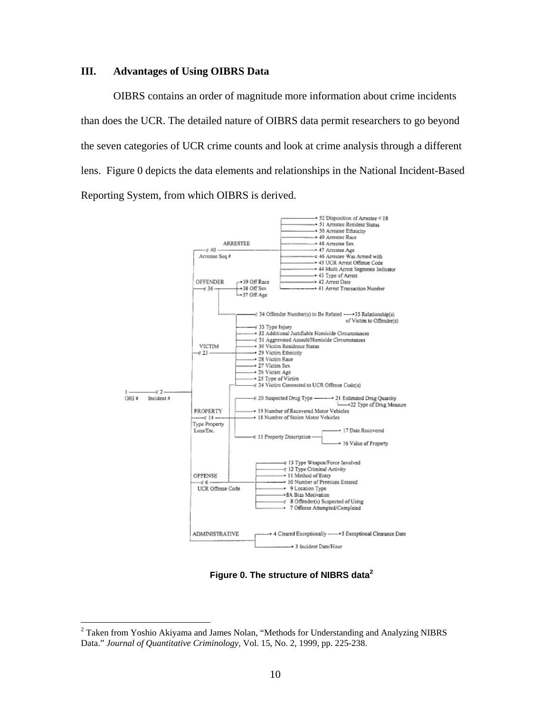#### **III. Advantages of Using OIBRS Data**

OIBRS contains an order of magnitude more information about crime incidents than does the UCR. The detailed nature of OIBRS data permit researchers to go beyond the seven categories of UCR crime counts and look at crime analysis through a different lens. Figure 0 depicts the data elements and relationships in the National Incident-Based Reporting System, from which OIBRS is derived.



**Figure 0. The structure of NIBRS data<sup>2</sup>**

 $\overline{a}$ 

<sup>&</sup>lt;sup>2</sup> Taken from Yoshio Akiyama and James Nolan, "Methods for Understanding and Analyzing NIBRS Data." *Journal of Quantitative Criminology*, Vol. 15, No. 2, 1999, pp. 225-238.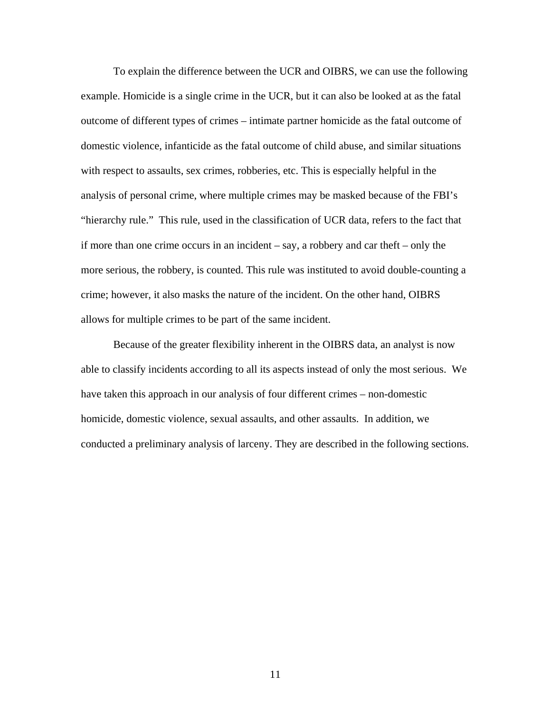To explain the difference between the UCR and OIBRS, we can use the following example. Homicide is a single crime in the UCR, but it can also be looked at as the fatal outcome of different types of crimes – intimate partner homicide as the fatal outcome of domestic violence, infanticide as the fatal outcome of child abuse, and similar situations with respect to assaults, sex crimes, robberies, etc. This is especially helpful in the analysis of personal crime, where multiple crimes may be masked because of the FBI's "hierarchy rule." This rule, used in the classification of UCR data, refers to the fact that if more than one crime occurs in an incident – say, a robbery and car theft – only the more serious, the robbery, is counted. This rule was instituted to avoid double-counting a crime; however, it also masks the nature of the incident. On the other hand, OIBRS allows for multiple crimes to be part of the same incident.

Because of the greater flexibility inherent in the OIBRS data, an analyst is now able to classify incidents according to all its aspects instead of only the most serious. We have taken this approach in our analysis of four different crimes – non-domestic homicide, domestic violence, sexual assaults, and other assaults. In addition, we conducted a preliminary analysis of larceny. They are described in the following sections.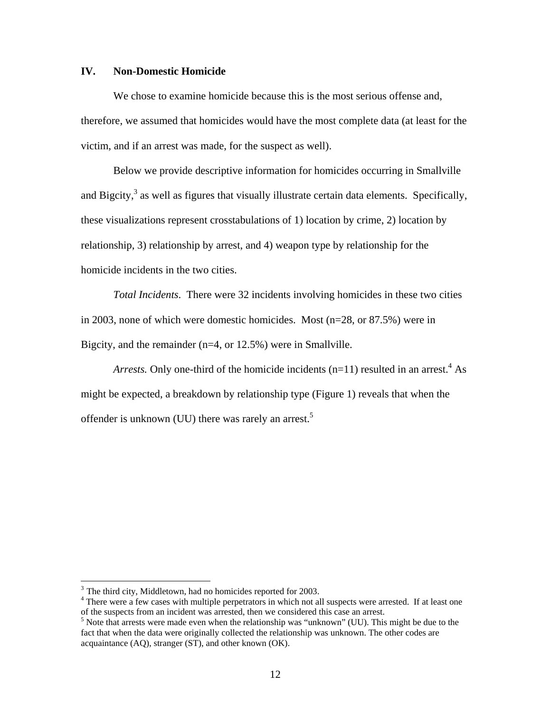#### **IV. Non-Domestic Homicide**

We chose to examine homicide because this is the most serious offense and, therefore, we assumed that homicides would have the most complete data (at least for the victim, and if an arrest was made, for the suspect as well).

Below we provide descriptive information for homicides occurring in Smallville and Bigcity, $3$  as well as figures that visually illustrate certain data elements. Specifically, these visualizations represent crosstabulations of 1) location by crime, 2) location by relationship, 3) relationship by arrest, and 4) weapon type by relationship for the homicide incidents in the two cities.

*Total Incidents*. There were 32 incidents involving homicides in these two cities in 2003, none of which were domestic homicides. Most (n=28, or 87.5%) were in Bigcity, and the remainder (n=4, or 12.5%) were in Smallville.

*Arrests*. Only one-third of the homicide incidents  $(n=11)$  resulted in an arrest.<sup>4</sup> As might be expected, a breakdown by relationship type (Figure 1) reveals that when the offender is unknown (UU) there was rarely an arrest.<sup>5</sup>

 $\overline{a}$ 

 $3$  The third city, Middletown, had no homicides reported for 2003.

<sup>&</sup>lt;sup>4</sup> There were a few cases with multiple perpetrators in which not all suspects were arrested. If at least one of the suspects from an incident was arrested, then we considered this case an arrest. 5

 $5$  Note that arrests were made even when the relationship was "unknown" (UU). This might be due to the fact that when the data were originally collected the relationship was unknown. The other codes are acquaintance (AQ), stranger (ST), and other known (OK).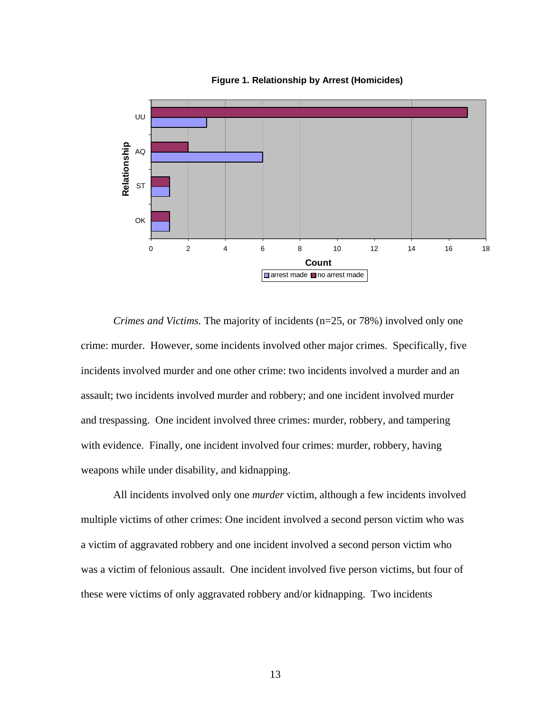



*Crimes and Victims.* The majority of incidents (n=25, or 78%) involved only one crime: murder. However, some incidents involved other major crimes. Specifically, five incidents involved murder and one other crime: two incidents involved a murder and an assault; two incidents involved murder and robbery; and one incident involved murder and trespassing. One incident involved three crimes: murder, robbery, and tampering with evidence. Finally, one incident involved four crimes: murder, robbery, having weapons while under disability, and kidnapping.

All incidents involved only one *murder* victim, although a few incidents involved multiple victims of other crimes: One incident involved a second person victim who was a victim of aggravated robbery and one incident involved a second person victim who was a victim of felonious assault. One incident involved five person victims, but four of these were victims of only aggravated robbery and/or kidnapping. Two incidents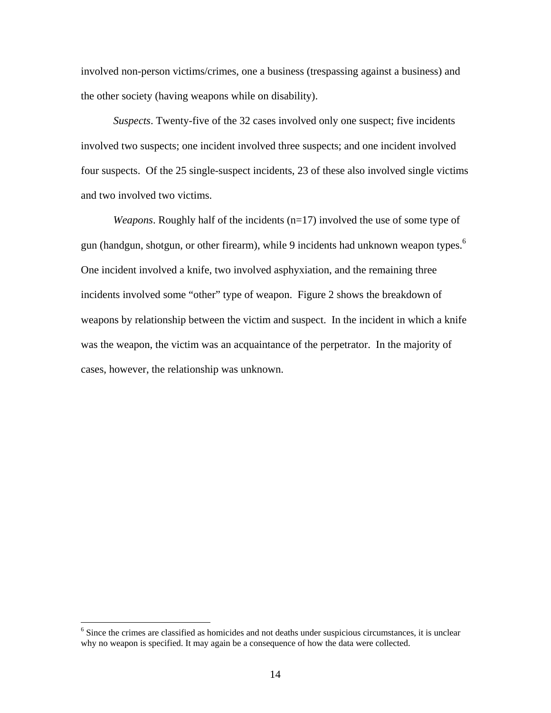involved non-person victims/crimes, one a business (trespassing against a business) and the other society (having weapons while on disability).

*Suspects*. Twenty-five of the 32 cases involved only one suspect; five incidents involved two suspects; one incident involved three suspects; and one incident involved four suspects. Of the 25 single-suspect incidents, 23 of these also involved single victims and two involved two victims.

*Weapons*. Roughly half of the incidents (n=17) involved the use of some type of gun (handgun, shotgun, or other firearm), while 9 incidents had unknown weapon types.<sup>6</sup> One incident involved a knife, two involved asphyxiation, and the remaining three incidents involved some "other" type of weapon. Figure 2 shows the breakdown of weapons by relationship between the victim and suspect. In the incident in which a knife was the weapon, the victim was an acquaintance of the perpetrator. In the majority of cases, however, the relationship was unknown.

<sup>&</sup>lt;sup>6</sup> Since the crimes are classified as homicides and not deaths under suspicious circumstances, it is unclear why no weapon is specified. It may again be a consequence of how the data were collected.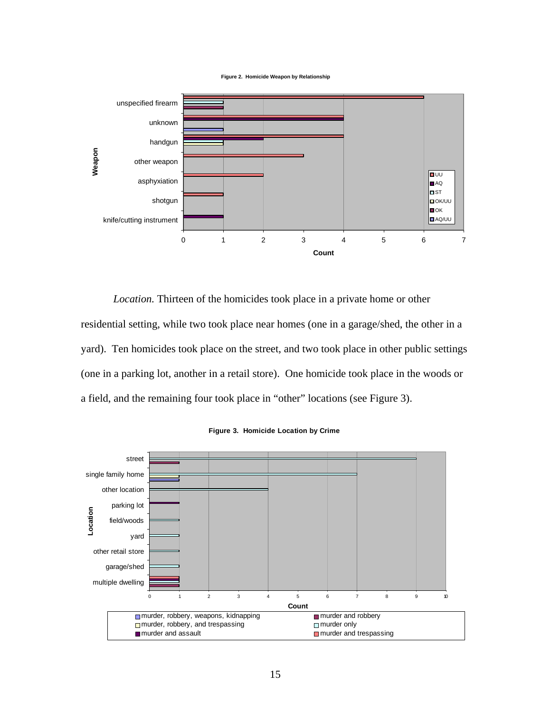



*Location.* Thirteen of the homicides took place in a private home or other residential setting, while two took place near homes (one in a garage/shed, the other in a yard). Ten homicides took place on the street, and two took place in other public settings (one in a parking lot, another in a retail store). One homicide took place in the woods or a field, and the remaining four took place in "other" locations (see Figure 3).



**Figure 3. Homicide Location by Crime**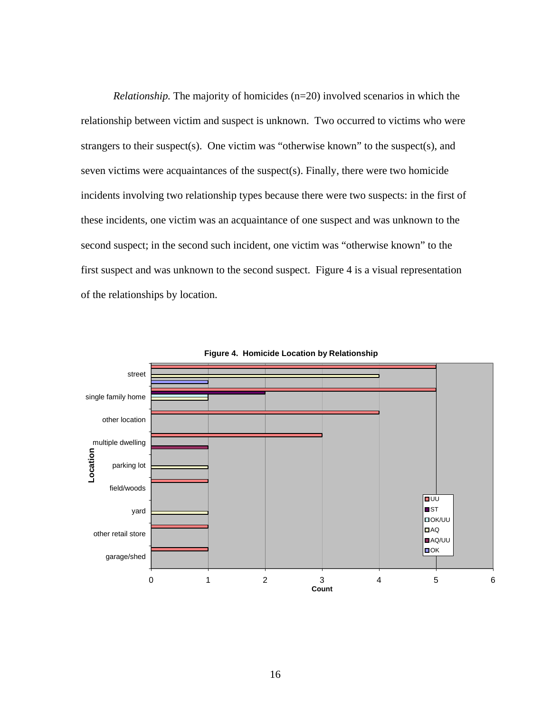*Relationship.* The majority of homicides (n=20) involved scenarios in which the relationship between victim and suspect is unknown. Two occurred to victims who were strangers to their suspect(s). One victim was "otherwise known" to the suspect(s), and seven victims were acquaintances of the suspect(s). Finally, there were two homicide incidents involving two relationship types because there were two suspects: in the first of these incidents, one victim was an acquaintance of one suspect and was unknown to the second suspect; in the second such incident, one victim was "otherwise known" to the first suspect and was unknown to the second suspect. Figure 4 is a visual representation of the relationships by location.



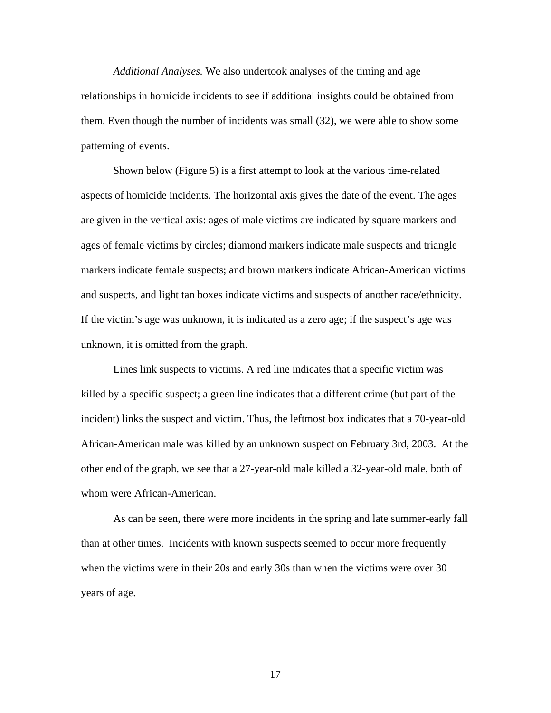*Additional Analyses.* We also undertook analyses of the timing and age relationships in homicide incidents to see if additional insights could be obtained from them. Even though the number of incidents was small (32), we were able to show some patterning of events.

 Shown below (Figure 5) is a first attempt to look at the various time-related aspects of homicide incidents. The horizontal axis gives the date of the event. The ages are given in the vertical axis: ages of male victims are indicated by square markers and ages of female victims by circles; diamond markers indicate male suspects and triangle markers indicate female suspects; and brown markers indicate African-American victims and suspects, and light tan boxes indicate victims and suspects of another race/ethnicity. If the victim's age was unknown, it is indicated as a zero age; if the suspect's age was unknown, it is omitted from the graph.

 Lines link suspects to victims. A red line indicates that a specific victim was killed by a specific suspect; a green line indicates that a different crime (but part of the incident) links the suspect and victim. Thus, the leftmost box indicates that a 70-year-old African-American male was killed by an unknown suspect on February 3rd, 2003. At the other end of the graph, we see that a 27-year-old male killed a 32-year-old male, both of whom were African-American.

 As can be seen, there were more incidents in the spring and late summer-early fall than at other times. Incidents with known suspects seemed to occur more frequently when the victims were in their 20s and early 30s than when the victims were over 30 years of age.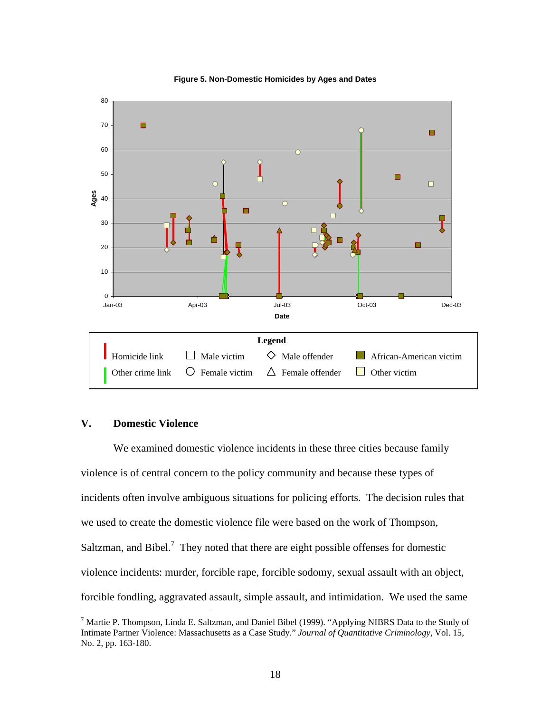

#### **Figure 5. Non-Domestic Homicides by Ages and Dates**

#### **V. Domestic Violence**

1

We examined domestic violence incidents in these three cities because family violence is of central concern to the policy community and because these types of incidents often involve ambiguous situations for policing efforts. The decision rules that we used to create the domestic violence file were based on the work of Thompson, Saltzman, and Bibel. $^7$  They noted that there are eight possible offenses for domestic violence incidents: murder, forcible rape, forcible sodomy, sexual assault with an object, forcible fondling, aggravated assault, simple assault, and intimidation. We used the same

<sup>&</sup>lt;sup>7</sup> Martie P. Thompson, Linda E. Saltzman, and Daniel Bibel (1999). "Applying NIBRS Data to the Study of Intimate Partner Violence: Massachusetts as a Case Study." *Journal of Quantitative Criminology*, Vol. 15, No. 2, pp. 163-180.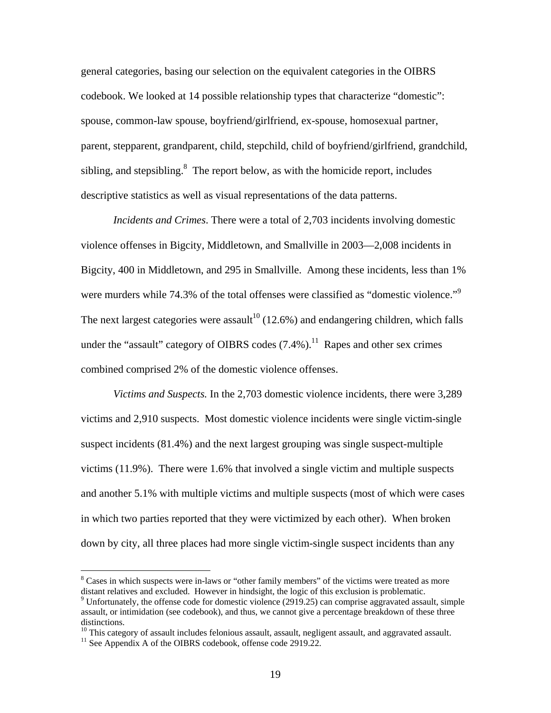general categories, basing our selection on the equivalent categories in the OIBRS codebook. We looked at 14 possible relationship types that characterize "domestic": spouse, common-law spouse, boyfriend/girlfriend, ex-spouse, homosexual partner, parent, stepparent, grandparent, child, stepchild, child of boyfriend/girlfriend, grandchild, sibling, and stepsibling. $8$  The report below, as with the homicide report, includes descriptive statistics as well as visual representations of the data patterns.

*Incidents and Crimes*. There were a total of 2,703 incidents involving domestic violence offenses in Bigcity, Middletown, and Smallville in 2003—2,008 incidents in Bigcity, 400 in Middletown, and 295 in Smallville. Among these incidents, less than 1% were murders while 74.3% of the total offenses were classified as "domestic violence."<sup>9</sup> The next largest categories were assault<sup>10</sup> (12.6%) and endangering children, which falls under the "assault" category of OIBRS codes  $(7.4\%)$ <sup>11</sup> Rapes and other sex crimes combined comprised 2% of the domestic violence offenses.

*Victims and Suspects.* In the 2,703 domestic violence incidents, there were 3,289 victims and 2,910 suspects. Most domestic violence incidents were single victim-single suspect incidents (81.4%) and the next largest grouping was single suspect-multiple victims (11.9%). There were 1.6% that involved a single victim and multiple suspects and another 5.1% with multiple victims and multiple suspects (most of which were cases in which two parties reported that they were victimized by each other). When broken down by city, all three places had more single victim-single suspect incidents than any

 $\overline{a}$ 

<sup>&</sup>lt;sup>8</sup> Cases in which suspects were in-laws or "other family members" of the victims were treated as more distant relatives and excluded. However in hindsight, the logic of this exclusion is problematic.

<sup>&</sup>lt;sup>9</sup> Unfortunately, the offense code for domestic violence (2919.25) can comprise aggravated assault, simple assault, or intimidation (see codebook), and thus, we cannot give a percentage breakdown of these three distinctions.

<sup>&</sup>lt;sup>10</sup> This category of assault includes felonious assault, assault, negligent assault, and aggravated assault. <sup>11</sup> See Appendix A of the OIBRS codebook, offense code 2919.22.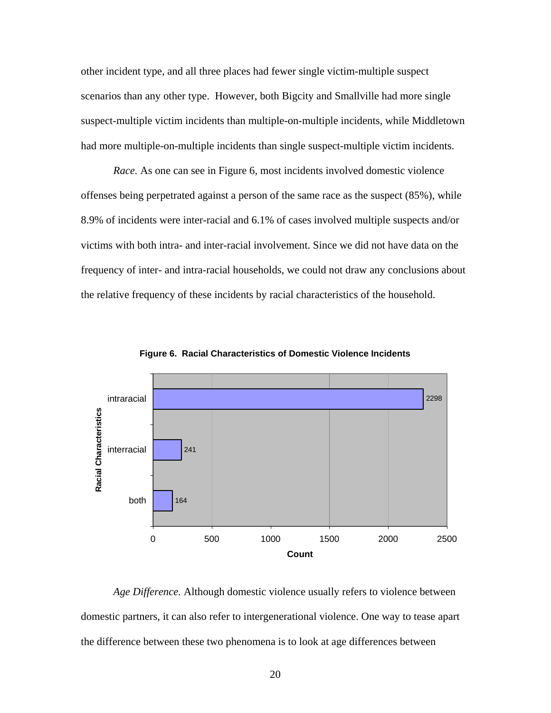other incident type, and all three places had fewer single victim-multiple suspect scenarios than any other type. However, both Bigcity and Smallville had more single suspect-multiple victim incidents than multiple-on-multiple incidents, while Middletown had more multiple-on-multiple incidents than single suspect-multiple victim incidents.

*Race.* As one can see in Figure 6, most incidents involved domestic violence offenses being perpetrated against a person of the same race as the suspect (85%), while 8.9% of incidents were inter-racial and 6.1% of cases involved multiple suspects and/or victims with both intra- and inter-racial involvement. Since we did not have data on the frequency of inter- and intra-racial households, we could not draw any conclusions about the relative frequency of these incidents by racial characteristics of the household.



**Figure 6. Racial Characteristics of Domestic Violence Incidents**

*Age Difference.* Although domestic violence usually refers to violence between domestic partners, it can also refer to intergenerational violence. One way to tease apart the difference between these two phenomena is to look at age differences between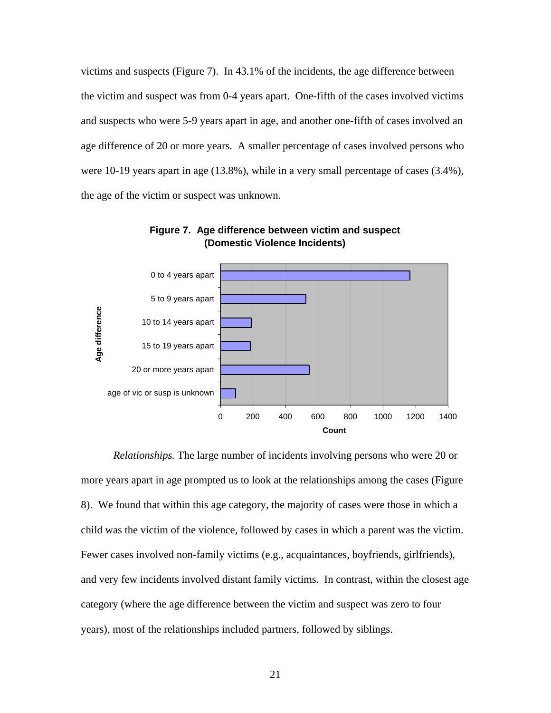victims and suspects (Figure 7). In 43.1% of the incidents, the age difference between the victim and suspect was from 0-4 years apart. One-fifth of the cases involved victims and suspects who were 5-9 years apart in age, and another one-fifth of cases involved an age difference of 20 or more years. A smaller percentage of cases involved persons who were 10-19 years apart in age (13.8%), while in a very small percentage of cases (3.4%), the age of the victim or suspect was unknown.



**Figure 7. Age difference between victim and suspect (Domestic Violence Incidents)**

*Relationships.* The large number of incidents involving persons who were 20 or more years apart in age prompted us to look at the relationships among the cases (Figure 8). We found that within this age category, the majority of cases were those in which a child was the victim of the violence, followed by cases in which a parent was the victim. Fewer cases involved non-family victims (e.g., acquaintances, boyfriends, girlfriends), and very few incidents involved distant family victims. In contrast, within the closest age category (where the age difference between the victim and suspect was zero to four years), most of the relationships included partners, followed by siblings.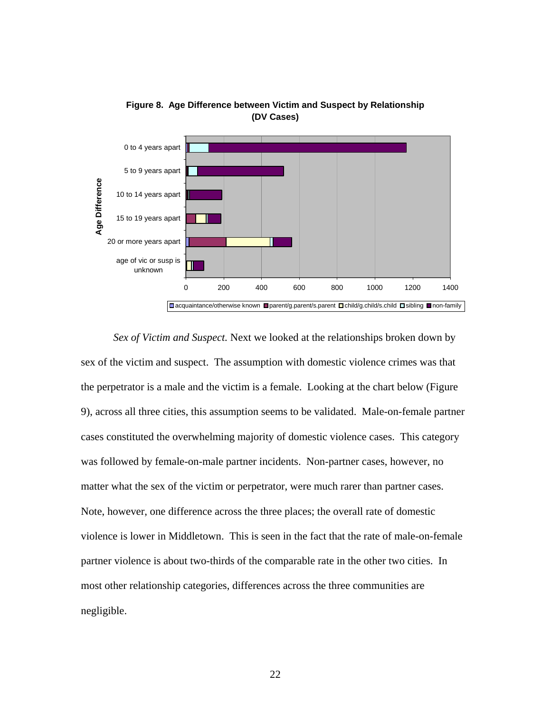



*Sex of Victim and Suspect.* Next we looked at the relationships broken down by sex of the victim and suspect. The assumption with domestic violence crimes was that the perpetrator is a male and the victim is a female. Looking at the chart below (Figure 9), across all three cities, this assumption seems to be validated. Male-on-female partner cases constituted the overwhelming majority of domestic violence cases. This category was followed by female-on-male partner incidents. Non-partner cases, however, no matter what the sex of the victim or perpetrator, were much rarer than partner cases. Note, however, one difference across the three places; the overall rate of domestic violence is lower in Middletown. This is seen in the fact that the rate of male-on-female partner violence is about two-thirds of the comparable rate in the other two cities. In most other relationship categories, differences across the three communities are negligible.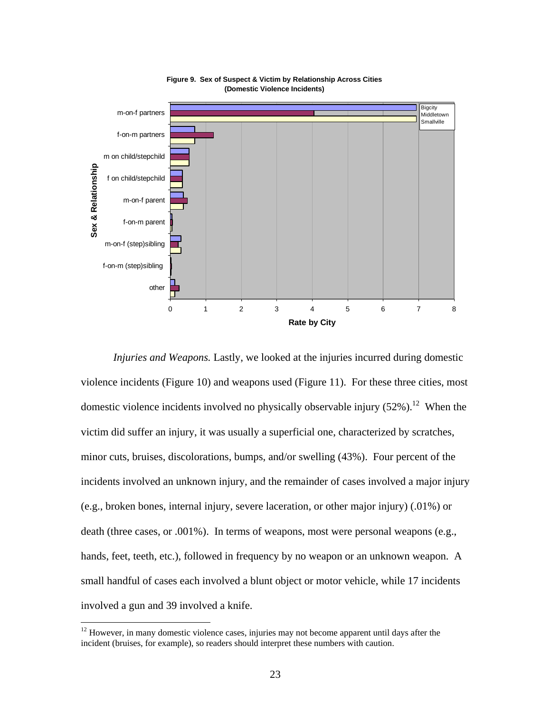

**Figure 9. Sex of Suspect & Victim by Relationship Across Cities (Domestic Violence Incidents)**

*Injuries and Weapons.* Lastly, we looked at the injuries incurred during domestic violence incidents (Figure 10) and weapons used (Figure 11). For these three cities, most domestic violence incidents involved no physically observable injury  $(52\%)$ .<sup>12</sup> When the victim did suffer an injury, it was usually a superficial one, characterized by scratches, minor cuts, bruises, discolorations, bumps, and/or swelling (43%). Four percent of the incidents involved an unknown injury, and the remainder of cases involved a major injury (e.g., broken bones, internal injury, severe laceration, or other major injury) (.01%) or death (three cases, or .001%). In terms of weapons, most were personal weapons (e.g., hands, feet, teeth, etc.), followed in frequency by no weapon or an unknown weapon. A small handful of cases each involved a blunt object or motor vehicle, while 17 incidents involved a gun and 39 involved a knife.

 $\overline{a}$ 

 $12$  However, in many domestic violence cases, injuries may not become apparent until days after the incident (bruises, for example), so readers should interpret these numbers with caution.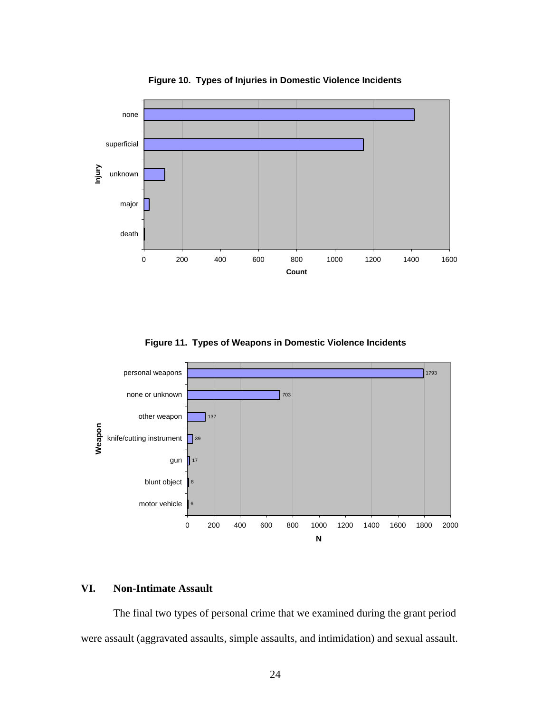

**Figure 10. Types of Injuries in Domestic Violence Incidents**

**Figure 11. Types of Weapons in Domestic Violence Incidents**



#### **VI. Non-Intimate Assault**

The final two types of personal crime that we examined during the grant period were assault (aggravated assaults, simple assaults, and intimidation) and sexual assault.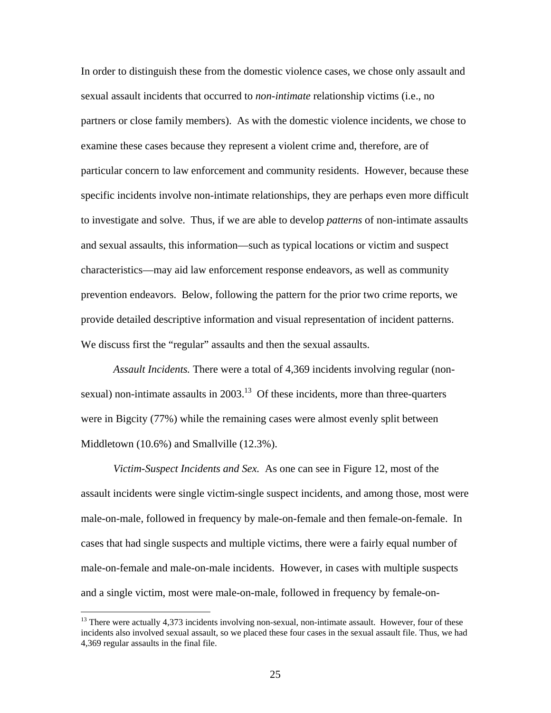In order to distinguish these from the domestic violence cases, we chose only assault and sexual assault incidents that occurred to *non-intimate* relationship victims (i.e., no partners or close family members). As with the domestic violence incidents, we chose to examine these cases because they represent a violent crime and, therefore, are of particular concern to law enforcement and community residents. However, because these specific incidents involve non-intimate relationships, they are perhaps even more difficult to investigate and solve. Thus, if we are able to develop *patterns* of non-intimate assaults and sexual assaults, this information—such as typical locations or victim and suspect characteristics—may aid law enforcement response endeavors, as well as community prevention endeavors. Below, following the pattern for the prior two crime reports, we provide detailed descriptive information and visual representation of incident patterns. We discuss first the "regular" assaults and then the sexual assaults.

*Assault Incidents.* There were a total of 4,369 incidents involving regular (nonsexual) non-intimate assaults in  $2003<sup>13</sup>$  Of these incidents, more than three-quarters were in Bigcity (77%) while the remaining cases were almost evenly split between Middletown (10.6%) and Smallville (12.3%).

*Victim-Suspect Incidents and Sex.* As one can see in Figure 12, most of the assault incidents were single victim-single suspect incidents, and among those, most were male-on-male, followed in frequency by male-on-female and then female-on-female. In cases that had single suspects and multiple victims, there were a fairly equal number of male-on-female and male-on-male incidents. However, in cases with multiple suspects and a single victim, most were male-on-male, followed in frequency by female-on-

 $\overline{a}$ 

<sup>&</sup>lt;sup>13</sup> There were actually 4,373 incidents involving non-sexual, non-intimate assault. However, four of these incidents also involved sexual assault, so we placed these four cases in the sexual assault file. Thus, we had 4,369 regular assaults in the final file.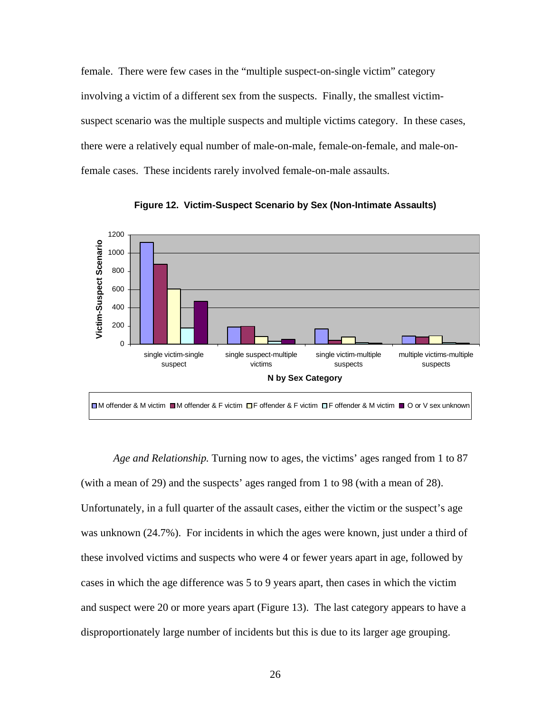female. There were few cases in the "multiple suspect-on-single victim" category involving a victim of a different sex from the suspects. Finally, the smallest victimsuspect scenario was the multiple suspects and multiple victims category. In these cases, there were a relatively equal number of male-on-male, female-on-female, and male-onfemale cases. These incidents rarely involved female-on-male assaults.



**Figure 12. Victim-Suspect Scenario by Sex (Non-Intimate Assaults)**

 *Age and Relationship.* Turning now to ages, the victims' ages ranged from 1 to 87 (with a mean of 29) and the suspects' ages ranged from 1 to 98 (with a mean of 28). Unfortunately, in a full quarter of the assault cases, either the victim or the suspect's age was unknown (24.7%). For incidents in which the ages were known, just under a third of these involved victims and suspects who were 4 or fewer years apart in age, followed by cases in which the age difference was 5 to 9 years apart, then cases in which the victim and suspect were 20 or more years apart (Figure 13). The last category appears to have a disproportionately large number of incidents but this is due to its larger age grouping.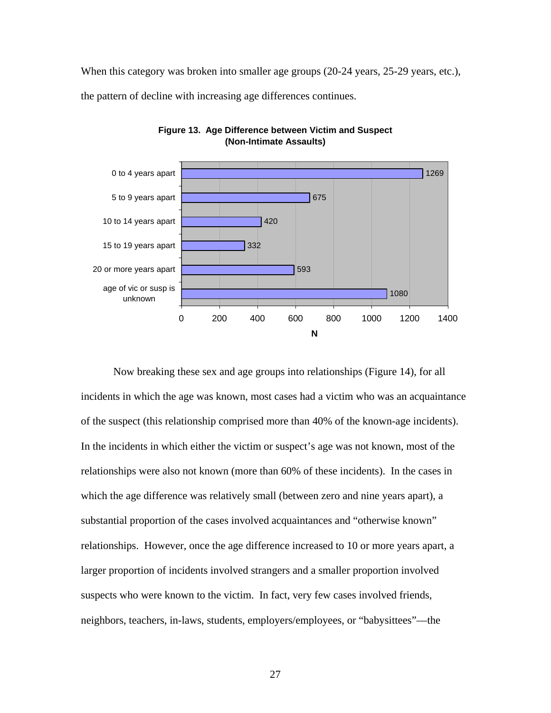When this category was broken into smaller age groups (20-24 years, 25-29 years, etc.), the pattern of decline with increasing age differences continues.



**Figure 13. Age Difference between Victim and Suspect (Non-Intimate Assaults)**

Now breaking these sex and age groups into relationships (Figure 14), for all incidents in which the age was known, most cases had a victim who was an acquaintance of the suspect (this relationship comprised more than 40% of the known-age incidents). In the incidents in which either the victim or suspect's age was not known, most of the relationships were also not known (more than 60% of these incidents). In the cases in which the age difference was relatively small (between zero and nine years apart), a substantial proportion of the cases involved acquaintances and "otherwise known" relationships. However, once the age difference increased to 10 or more years apart, a larger proportion of incidents involved strangers and a smaller proportion involved suspects who were known to the victim. In fact, very few cases involved friends, neighbors, teachers, in-laws, students, employers/employees, or "babysittees"—the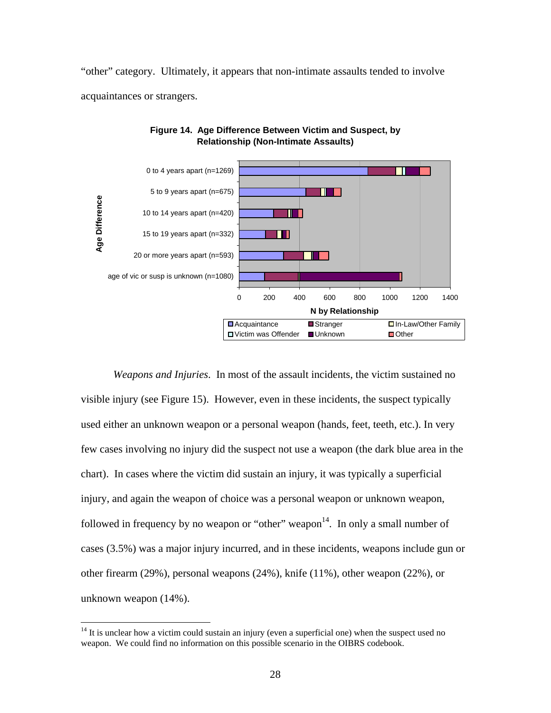"other" category. Ultimately, it appears that non-intimate assaults tended to involve acquaintances or strangers.





*Weapons and Injuries*. In most of the assault incidents, the victim sustained no visible injury (see Figure 15). However, even in these incidents, the suspect typically used either an unknown weapon or a personal weapon (hands, feet, teeth, etc.). In very few cases involving no injury did the suspect not use a weapon (the dark blue area in the chart). In cases where the victim did sustain an injury, it was typically a superficial injury, and again the weapon of choice was a personal weapon or unknown weapon, followed in frequency by no weapon or "other" weapon $14$ . In only a small number of cases (3.5%) was a major injury incurred, and in these incidents, weapons include gun or other firearm (29%), personal weapons (24%), knife (11%), other weapon (22%), or unknown weapon (14%).

 $14$  It is unclear how a victim could sustain an injury (even a superficial one) when the suspect used no weapon. We could find no information on this possible scenario in the OIBRS codebook.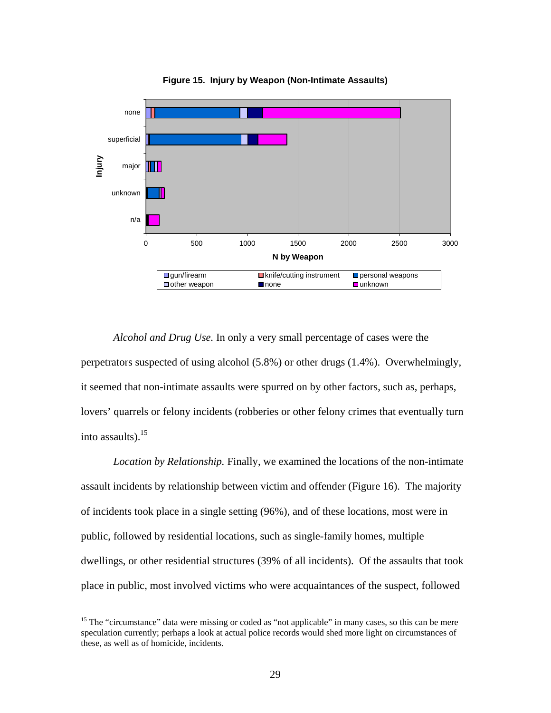

**Figure 15. Injury by Weapon (Non-Intimate Assaults)**

*Alcohol and Drug Use.* In only a very small percentage of cases were the perpetrators suspected of using alcohol (5.8%) or other drugs (1.4%). Overwhelmingly, it seemed that non-intimate assaults were spurred on by other factors, such as, perhaps, lovers' quarrels or felony incidents (robberies or other felony crimes that eventually turn into assaults). $^{15}$ 

*Location by Relationship.* Finally, we examined the locations of the non-intimate assault incidents by relationship between victim and offender (Figure 16). The majority of incidents took place in a single setting (96%), and of these locations, most were in public, followed by residential locations, such as single-family homes, multiple dwellings, or other residential structures (39% of all incidents). Of the assaults that took place in public, most involved victims who were acquaintances of the suspect, followed

 $\overline{a}$ 

<sup>&</sup>lt;sup>15</sup> The "circumstance" data were missing or coded as "not applicable" in many cases, so this can be mere speculation currently; perhaps a look at actual police records would shed more light on circumstances of these, as well as of homicide, incidents.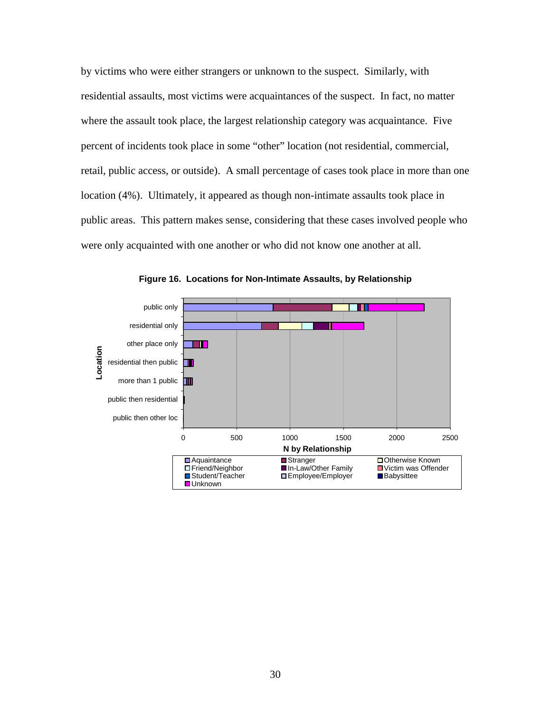by victims who were either strangers or unknown to the suspect. Similarly, with residential assaults, most victims were acquaintances of the suspect. In fact, no matter where the assault took place, the largest relationship category was acquaintance. Five percent of incidents took place in some "other" location (not residential, commercial, retail, public access, or outside). A small percentage of cases took place in more than one location (4%). Ultimately, it appeared as though non-intimate assaults took place in public areas. This pattern makes sense, considering that these cases involved people who were only acquainted with one another or who did not know one another at all.



**Figure 16. Locations for Non-Intimate Assaults, by Relationship**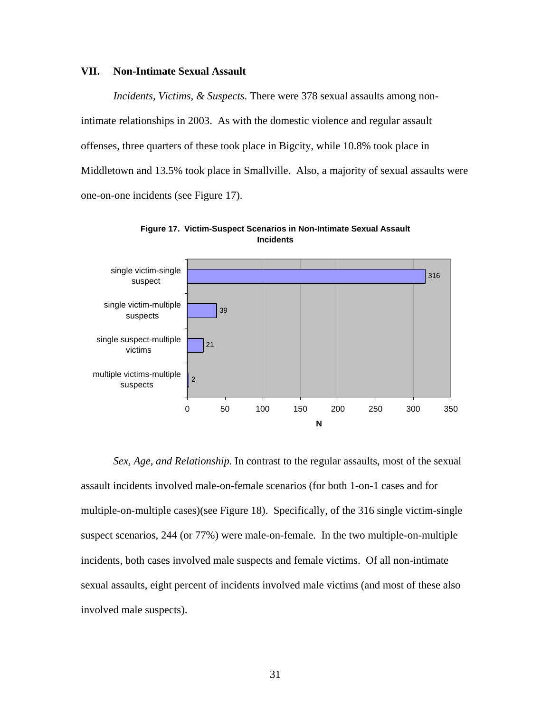#### **VII. Non-Intimate Sexual Assault**

*Incidents, Victims, & Suspects*. There were 378 sexual assaults among nonintimate relationships in 2003. As with the domestic violence and regular assault offenses, three quarters of these took place in Bigcity, while 10.8% took place in Middletown and 13.5% took place in Smallville. Also, a majority of sexual assaults were one-on-one incidents (see Figure 17).





*Sex, Age, and Relationship.* In contrast to the regular assaults, most of the sexual assault incidents involved male-on-female scenarios (for both 1-on-1 cases and for multiple-on-multiple cases)(see Figure 18). Specifically, of the 316 single victim-single suspect scenarios, 244 (or 77%) were male-on-female. In the two multiple-on-multiple incidents, both cases involved male suspects and female victims. Of all non-intimate sexual assaults, eight percent of incidents involved male victims (and most of these also involved male suspects).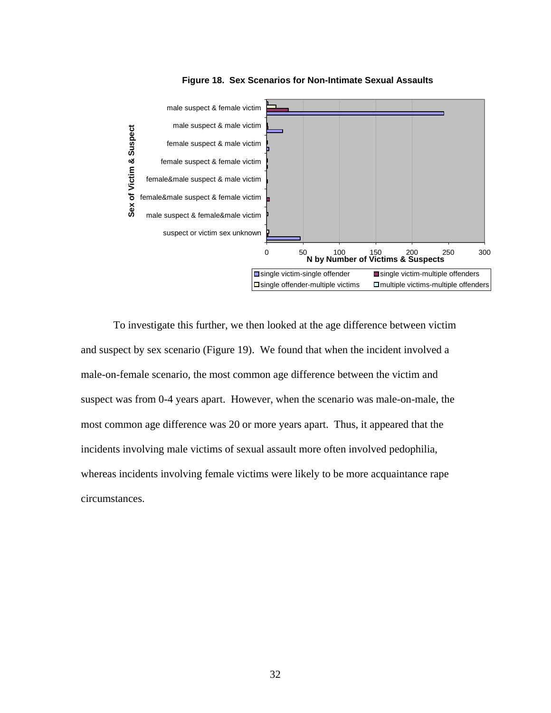

**Figure 18. Sex Scenarios for Non-Intimate Sexual Assaults**

To investigate this further, we then looked at the age difference between victim and suspect by sex scenario (Figure 19). We found that when the incident involved a male-on-female scenario, the most common age difference between the victim and suspect was from 0-4 years apart. However, when the scenario was male-on-male, the most common age difference was 20 or more years apart. Thus, it appeared that the incidents involving male victims of sexual assault more often involved pedophilia, whereas incidents involving female victims were likely to be more acquaintance rape circumstances.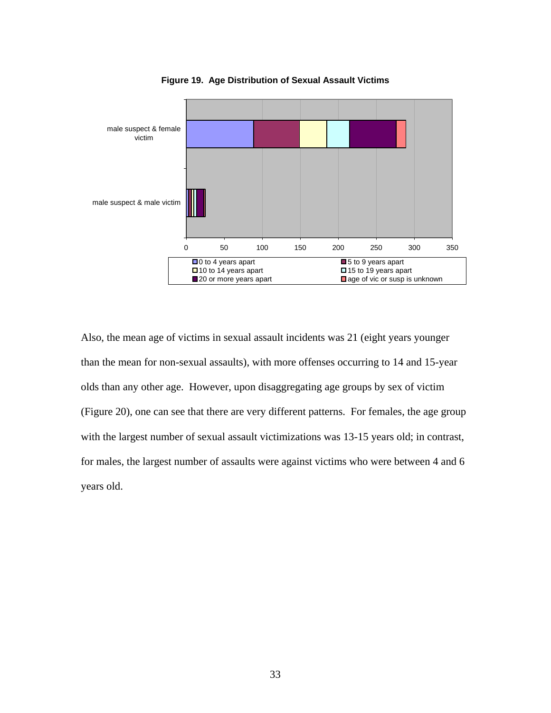

**Figure 19. Age Distribution of Sexual Assault Victims**

Also, the mean age of victims in sexual assault incidents was 21 (eight years younger than the mean for non-sexual assaults), with more offenses occurring to 14 and 15-year olds than any other age. However, upon disaggregating age groups by sex of victim (Figure 20), one can see that there are very different patterns. For females, the age group with the largest number of sexual assault victimizations was 13-15 years old; in contrast, for males, the largest number of assaults were against victims who were between 4 and 6 years old.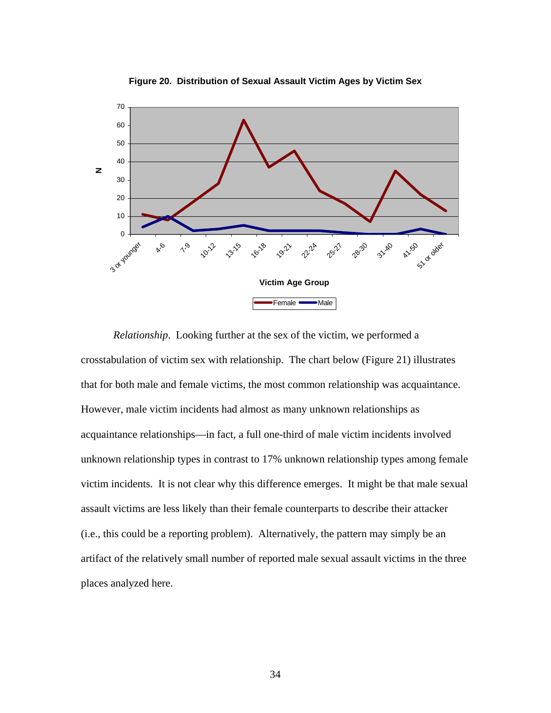

**Figure 20. Distribution of Sexual Assault Victim Ages by Victim Sex**

*Relationship*. Looking further at the sex of the victim, we performed a crosstabulation of victim sex with relationship. The chart below (Figure 21) illustrates that for both male and female victims, the most common relationship was acquaintance. However, male victim incidents had almost as many unknown relationships as acquaintance relationships—in fact, a full one-third of male victim incidents involved unknown relationship types in contrast to 17% unknown relationship types among female victim incidents. It is not clear why this difference emerges. It might be that male sexual assault victims are less likely than their female counterparts to describe their attacker (i.e., this could be a reporting problem). Alternatively, the pattern may simply be an artifact of the relatively small number of reported male sexual assault victims in the three places analyzed here.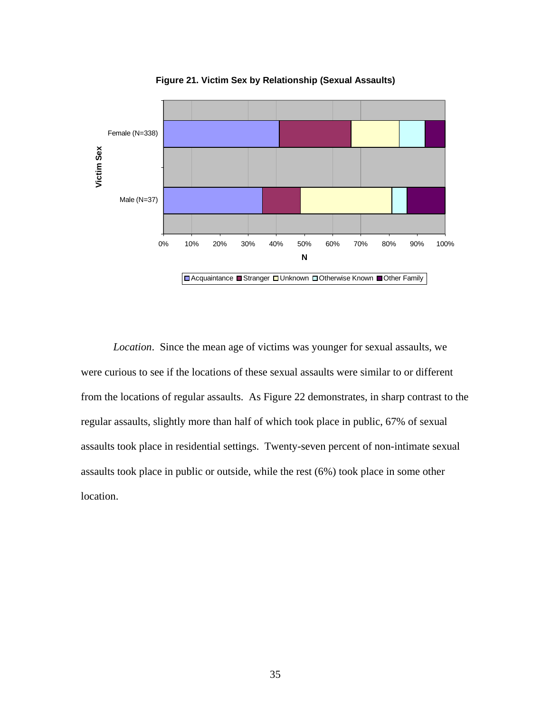

**Figure 21. Victim Sex by Relationship (Sexual Assaults)**

*Location*. Since the mean age of victims was younger for sexual assaults, we were curious to see if the locations of these sexual assaults were similar to or different from the locations of regular assaults. As Figure 22 demonstrates, in sharp contrast to the regular assaults, slightly more than half of which took place in public, 67% of sexual assaults took place in residential settings. Twenty-seven percent of non-intimate sexual assaults took place in public or outside, while the rest (6%) took place in some other location.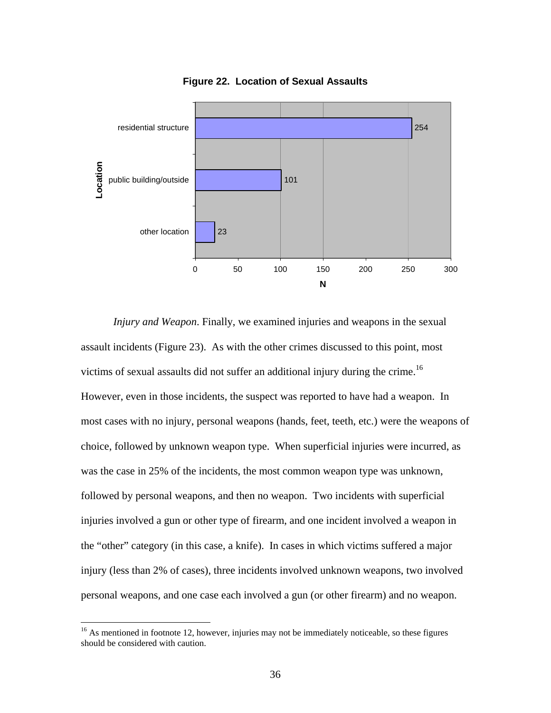

**Figure 22. Location of Sexual Assaults**

*Injury and Weapon*. Finally, we examined injuries and weapons in the sexual assault incidents (Figure 23). As with the other crimes discussed to this point, most victims of sexual assaults did not suffer an additional injury during the crime.<sup>16</sup> However, even in those incidents, the suspect was reported to have had a weapon. In most cases with no injury, personal weapons (hands, feet, teeth, etc.) were the weapons of choice, followed by unknown weapon type. When superficial injuries were incurred, as was the case in 25% of the incidents, the most common weapon type was unknown, followed by personal weapons, and then no weapon. Two incidents with superficial injuries involved a gun or other type of firearm, and one incident involved a weapon in the "other" category (in this case, a knife). In cases in which victims suffered a major injury (less than 2% of cases), three incidents involved unknown weapons, two involved personal weapons, and one case each involved a gun (or other firearm) and no weapon.

 $16$  As mentioned in footnote 12, however, injuries may not be immediately noticeable, so these figures should be considered with caution.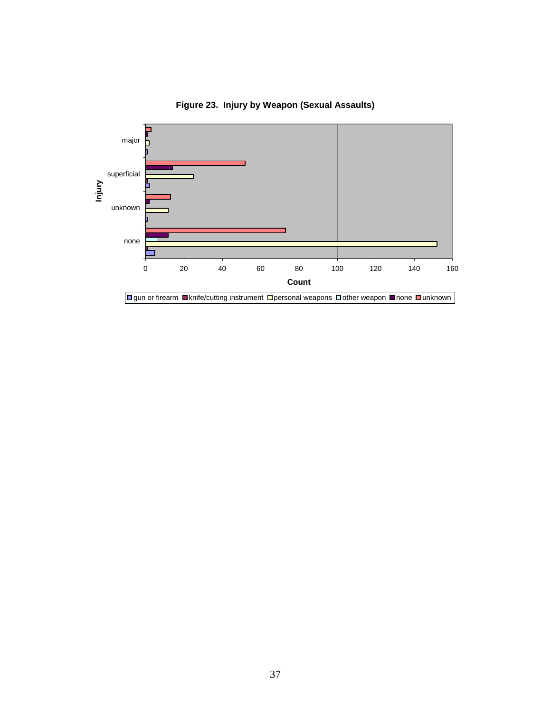

**Figure 23. Injury by Weapon (Sexual Assaults)**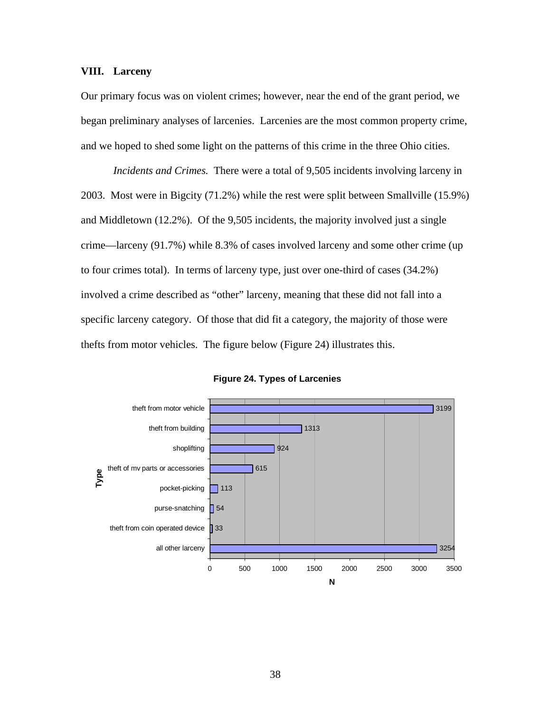#### **VIII. Larceny**

Our primary focus was on violent crimes; however, near the end of the grant period, we began preliminary analyses of larcenies. Larcenies are the most common property crime, and we hoped to shed some light on the patterns of this crime in the three Ohio cities.

*Incidents and Crimes.* There were a total of 9,505 incidents involving larceny in 2003. Most were in Bigcity (71.2%) while the rest were split between Smallville (15.9%) and Middletown (12.2%). Of the 9,505 incidents, the majority involved just a single crime—larceny (91.7%) while 8.3% of cases involved larceny and some other crime (up to four crimes total). In terms of larceny type, just over one-third of cases (34.2%) involved a crime described as "other" larceny, meaning that these did not fall into a specific larceny category. Of those that did fit a category, the majority of those were thefts from motor vehicles. The figure below (Figure 24) illustrates this.



**Figure 24. Types of Larcenies**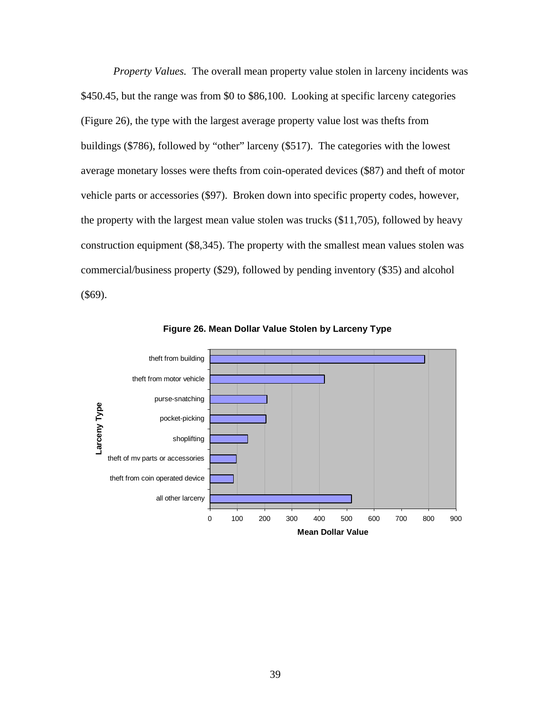*Property Values.* The overall mean property value stolen in larceny incidents was \$450.45, but the range was from \$0 to \$86,100. Looking at specific larceny categories (Figure 26), the type with the largest average property value lost was thefts from buildings (\$786), followed by "other" larceny (\$517). The categories with the lowest average monetary losses were thefts from coin-operated devices (\$87) and theft of motor vehicle parts or accessories (\$97). Broken down into specific property codes, however, the property with the largest mean value stolen was trucks (\$11,705), followed by heavy construction equipment (\$8,345). The property with the smallest mean values stolen was commercial/business property (\$29), followed by pending inventory (\$35) and alcohol (\$69).



**Figure 26. Mean Dollar Value Stolen by Larceny Type**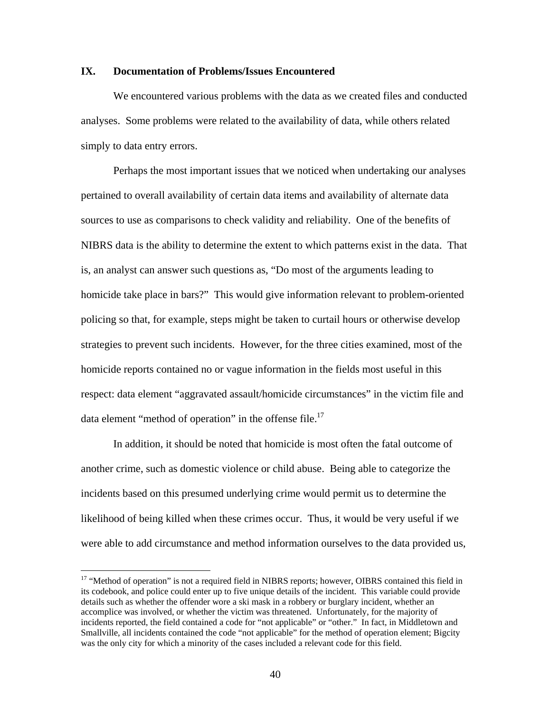#### **IX. Documentation of Problems/Issues Encountered**

We encountered various problems with the data as we created files and conducted analyses. Some problems were related to the availability of data, while others related simply to data entry errors.

Perhaps the most important issues that we noticed when undertaking our analyses pertained to overall availability of certain data items and availability of alternate data sources to use as comparisons to check validity and reliability. One of the benefits of NIBRS data is the ability to determine the extent to which patterns exist in the data. That is, an analyst can answer such questions as, "Do most of the arguments leading to homicide take place in bars?" This would give information relevant to problem-oriented policing so that, for example, steps might be taken to curtail hours or otherwise develop strategies to prevent such incidents. However, for the three cities examined, most of the homicide reports contained no or vague information in the fields most useful in this respect: data element "aggravated assault/homicide circumstances" in the victim file and data element "method of operation" in the offense file.<sup>17</sup>

In addition, it should be noted that homicide is most often the fatal outcome of another crime, such as domestic violence or child abuse. Being able to categorize the incidents based on this presumed underlying crime would permit us to determine the likelihood of being killed when these crimes occur. Thus, it would be very useful if we were able to add circumstance and method information ourselves to the data provided us,

 $\overline{a}$ 

<sup>&</sup>lt;sup>17</sup> "Method of operation" is not a required field in NIBRS reports; however, OIBRS contained this field in its codebook, and police could enter up to five unique details of the incident. This variable could provide details such as whether the offender wore a ski mask in a robbery or burglary incident, whether an accomplice was involved, or whether the victim was threatened. Unfortunately, for the majority of incidents reported, the field contained a code for "not applicable" or "other." In fact, in Middletown and Smallville, all incidents contained the code "not applicable" for the method of operation element; Bigcity was the only city for which a minority of the cases included a relevant code for this field.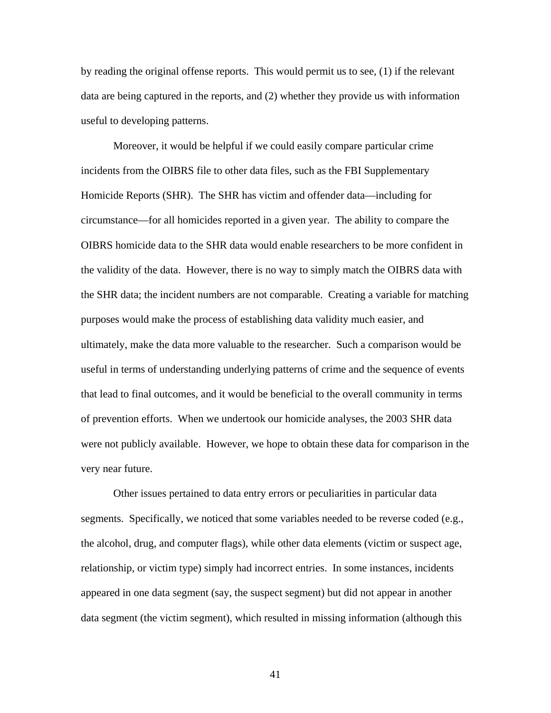by reading the original offense reports. This would permit us to see, (1) if the relevant data are being captured in the reports, and (2) whether they provide us with information useful to developing patterns.

Moreover, it would be helpful if we could easily compare particular crime incidents from the OIBRS file to other data files, such as the FBI Supplementary Homicide Reports (SHR). The SHR has victim and offender data—including for circumstance—for all homicides reported in a given year. The ability to compare the OIBRS homicide data to the SHR data would enable researchers to be more confident in the validity of the data. However, there is no way to simply match the OIBRS data with the SHR data; the incident numbers are not comparable. Creating a variable for matching purposes would make the process of establishing data validity much easier, and ultimately, make the data more valuable to the researcher. Such a comparison would be useful in terms of understanding underlying patterns of crime and the sequence of events that lead to final outcomes, and it would be beneficial to the overall community in terms of prevention efforts. When we undertook our homicide analyses, the 2003 SHR data were not publicly available. However, we hope to obtain these data for comparison in the very near future.

Other issues pertained to data entry errors or peculiarities in particular data segments. Specifically, we noticed that some variables needed to be reverse coded (e.g., the alcohol, drug, and computer flags), while other data elements (victim or suspect age, relationship, or victim type) simply had incorrect entries. In some instances, incidents appeared in one data segment (say, the suspect segment) but did not appear in another data segment (the victim segment), which resulted in missing information (although this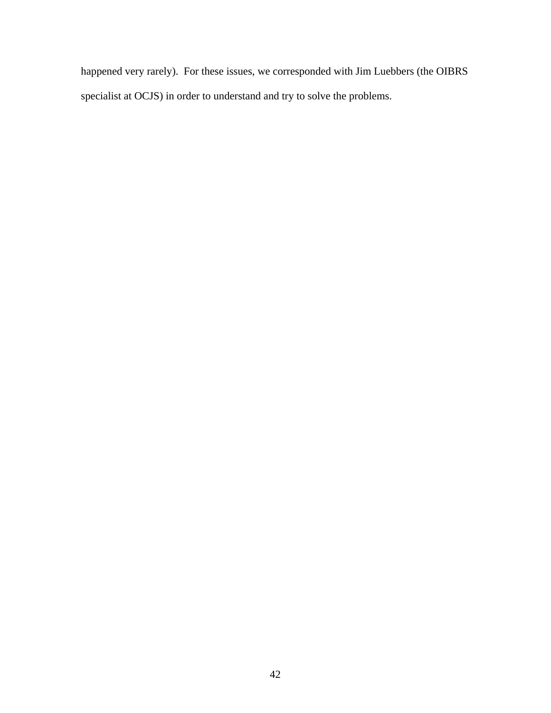happened very rarely). For these issues, we corresponded with Jim Luebbers (the OIBRS specialist at OCJS) in order to understand and try to solve the problems.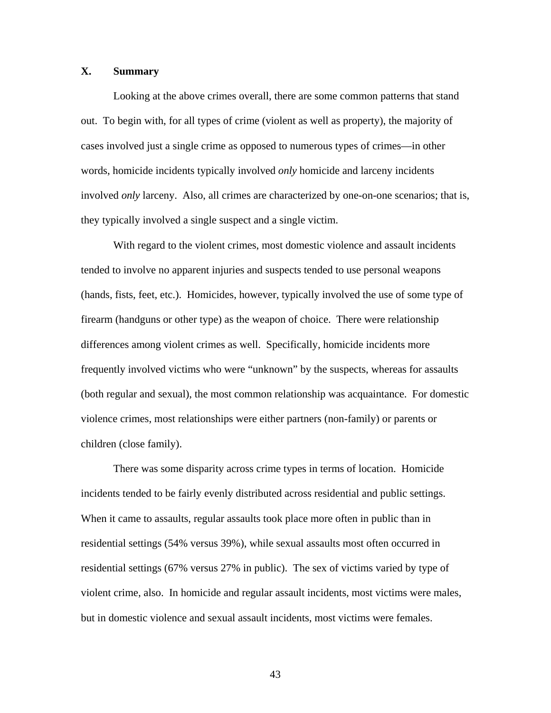#### **X. Summary**

Looking at the above crimes overall, there are some common patterns that stand out. To begin with, for all types of crime (violent as well as property), the majority of cases involved just a single crime as opposed to numerous types of crimes—in other words, homicide incidents typically involved *only* homicide and larceny incidents involved *only* larceny. Also, all crimes are characterized by one-on-one scenarios; that is, they typically involved a single suspect and a single victim.

 With regard to the violent crimes, most domestic violence and assault incidents tended to involve no apparent injuries and suspects tended to use personal weapons (hands, fists, feet, etc.). Homicides, however, typically involved the use of some type of firearm (handguns or other type) as the weapon of choice. There were relationship differences among violent crimes as well. Specifically, homicide incidents more frequently involved victims who were "unknown" by the suspects, whereas for assaults (both regular and sexual), the most common relationship was acquaintance. For domestic violence crimes, most relationships were either partners (non-family) or parents or children (close family).

 There was some disparity across crime types in terms of location. Homicide incidents tended to be fairly evenly distributed across residential and public settings. When it came to assaults, regular assaults took place more often in public than in residential settings (54% versus 39%), while sexual assaults most often occurred in residential settings (67% versus 27% in public). The sex of victims varied by type of violent crime, also. In homicide and regular assault incidents, most victims were males, but in domestic violence and sexual assault incidents, most victims were females.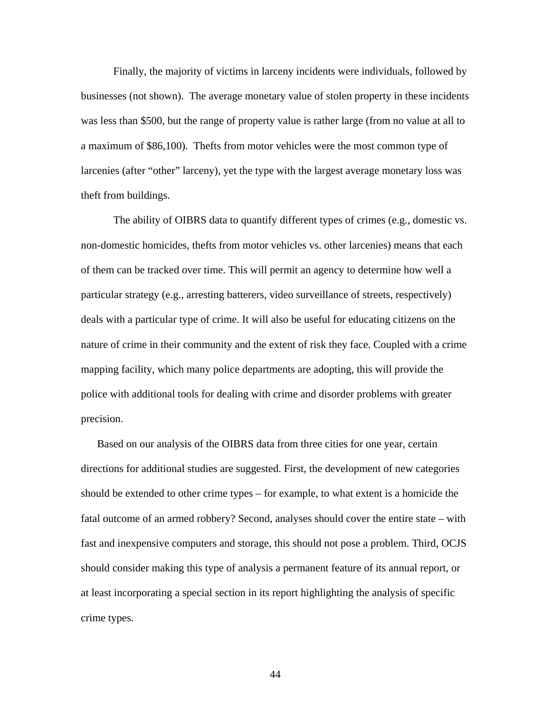Finally, the majority of victims in larceny incidents were individuals, followed by businesses (not shown). The average monetary value of stolen property in these incidents was less than \$500, but the range of property value is rather large (from no value at all to a maximum of \$86,100). Thefts from motor vehicles were the most common type of larcenies (after "other" larceny), yet the type with the largest average monetary loss was theft from buildings.

The ability of OIBRS data to quantify different types of crimes (e.g., domestic vs. non-domestic homicides, thefts from motor vehicles vs. other larcenies) means that each of them can be tracked over time. This will permit an agency to determine how well a particular strategy (e.g., arresting batterers, video surveillance of streets, respectively) deals with a particular type of crime. It will also be useful for educating citizens on the nature of crime in their community and the extent of risk they face. Coupled with a crime mapping facility, which many police departments are adopting, this will provide the police with additional tools for dealing with crime and disorder problems with greater precision.

Based on our analysis of the OIBRS data from three cities for one year, certain directions for additional studies are suggested. First, the development of new categories should be extended to other crime types – for example, to what extent is a homicide the fatal outcome of an armed robbery? Second, analyses should cover the entire state – with fast and inexpensive computers and storage, this should not pose a problem. Third, OCJS should consider making this type of analysis a permanent feature of its annual report, or at least incorporating a special section in its report highlighting the analysis of specific crime types.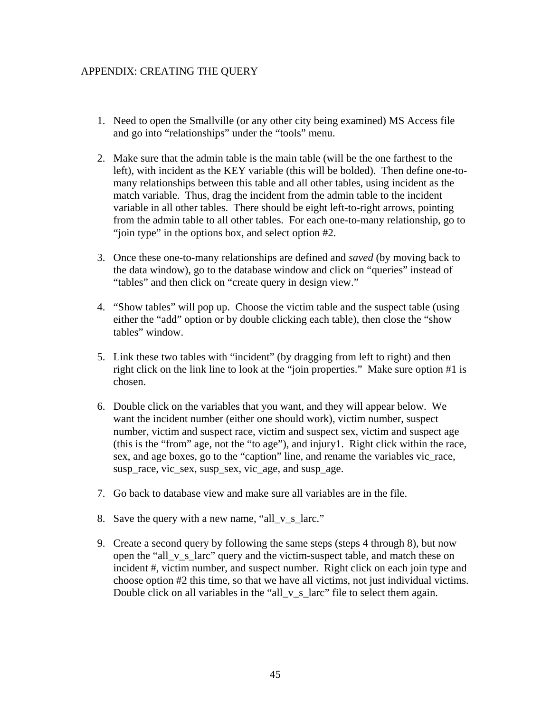#### APPENDIX: CREATING THE QUERY

- 1. Need to open the Smallville (or any other city being examined) MS Access file and go into "relationships" under the "tools" menu.
- 2. Make sure that the admin table is the main table (will be the one farthest to the left), with incident as the KEY variable (this will be bolded). Then define one-tomany relationships between this table and all other tables, using incident as the match variable. Thus, drag the incident from the admin table to the incident variable in all other tables. There should be eight left-to-right arrows, pointing from the admin table to all other tables. For each one-to-many relationship, go to "join type" in the options box, and select option #2.
- 3. Once these one-to-many relationships are defined and *saved* (by moving back to the data window), go to the database window and click on "queries" instead of "tables" and then click on "create query in design view."
- 4. "Show tables" will pop up. Choose the victim table and the suspect table (using either the "add" option or by double clicking each table), then close the "show tables" window.
- 5. Link these two tables with "incident" (by dragging from left to right) and then right click on the link line to look at the "join properties." Make sure option #1 is chosen.
- 6. Double click on the variables that you want, and they will appear below. We want the incident number (either one should work), victim number, suspect number, victim and suspect race, victim and suspect sex, victim and suspect age (this is the "from" age, not the "to age"), and injury1. Right click within the race, sex, and age boxes, go to the "caption" line, and rename the variables vic\_race, susp\_race, vic\_sex, susp\_sex, vic\_age, and susp\_age.
- 7. Go back to database view and make sure all variables are in the file.
- 8. Save the query with a new name, "all\_v\_s\_larc."
- 9. Create a second query by following the same steps (steps 4 through 8), but now open the "all\_v\_s\_larc" query and the victim-suspect table, and match these on incident #, victim number, and suspect number. Right click on each join type and choose option #2 this time, so that we have all victims, not just individual victims. Double click on all variables in the "all\_v\_s\_larc" file to select them again.